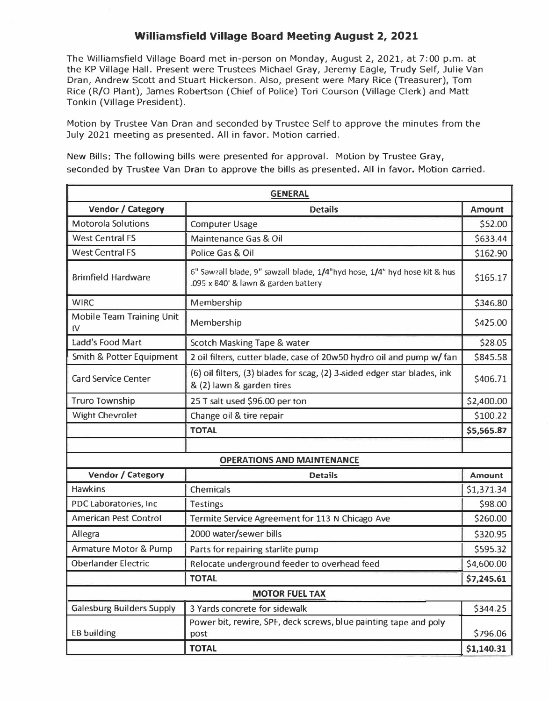## **Williamsfield Village Board Meeting August 2, 2021**

The Williamsfield Village Board met in-person on Monday, August 2, 2021, at 7:00 p.m. at the KP Village Hall. Present were Trustees Michael Gray, Jeremy Eagle, Trudy Self, Julie Van Dran, Andrew Scott and Stuart Hickerson. Also, present were Mary Rice (Treasurer), Tom Rice (R/O Plant), James Robertson (Chief of Police) Tori Courson (Village Clerk) and Matt Tonkin (Village President).

Motion by Trustee Van Dran and seconded by Trustee Self to approve the minutes from the July 2021 meeting as presented. All in favor. Motion carried.

New Bills: The following bills were presented for approval. Motion by Trustee Gray, seconded by Trustee Van Dran to approve the bills as presented. All in favor. Motion carried.

| <b>GENERAL</b>                    |                                                                                                                  |               |  |  |
|-----------------------------------|------------------------------------------------------------------------------------------------------------------|---------------|--|--|
| Vendor / Category                 | <b>Details</b>                                                                                                   | <b>Amount</b> |  |  |
| <b>Motorola Solutions</b>         | <b>Computer Usage</b>                                                                                            | \$52.00       |  |  |
| <b>West Central FS</b>            | Maintenance Gas & Oil                                                                                            | \$633.44      |  |  |
| <b>West Central FS</b>            | Police Gas & Oil                                                                                                 | \$162.90      |  |  |
| <b>Brimfield Hardware</b>         | 6" Sawzall biade, 9" sawzall blade, 1/4"hyd hose, 1/4" hyd hose kit & hus<br>.095 x 840' & lawn & garden battery |               |  |  |
| <b>WIRC</b>                       | Membership                                                                                                       | \$346.80      |  |  |
| Mobile Team Training Unit<br>IV   | Membership                                                                                                       | \$425.00      |  |  |
| Ladd's Food Mart                  | Scotch Masking Tape & water                                                                                      | \$28.05       |  |  |
| Smith & Potter Equipment          | 2 oil filters, cutter blade, case of 20w50 hydro oil and pump w/ fan                                             | \$845.58      |  |  |
| <b>Card Service Center</b>        | (6) oil filters, (3) blades for scag, (2) 3-sided edger star blades, ink<br>& (2) lawn & garden tires            | \$406.71      |  |  |
| <b>Truro Township</b>             | 25 T salt used \$96.00 per ton                                                                                   | \$2,400.00    |  |  |
| <b>Wight Chevrolet</b>            | Change oil & tire repair                                                                                         | \$100.22      |  |  |
|                                   | <b>TOTAL</b>                                                                                                     | \$5,565.87    |  |  |
|                                   |                                                                                                                  |               |  |  |
| <b>OPERATIONS AND MAINTENANCE</b> |                                                                                                                  |               |  |  |
| Vendor / Category                 | <b>Details</b>                                                                                                   | Amount        |  |  |
| <b>Hawkins</b>                    | Chemicals                                                                                                        | \$1,371.34    |  |  |
| PDC Laboratories, Inc.            | <b>Testings</b>                                                                                                  | \$98.00       |  |  |
| <b>American Pest Control</b>      | Termite Service Agreement for 113 N Chicago Ave                                                                  | \$260.00      |  |  |
| Allegra                           | 2000 water/sewer bills                                                                                           | \$320.95      |  |  |
| <b>Armature Motor &amp; Pump</b>  | Parts for repairing starlite pump                                                                                | \$595.32      |  |  |
| <b>Oberlander Electric</b>        | Relocate underground feeder to overhead feed                                                                     | \$4,600.00    |  |  |
|                                   | <b>TOTAL</b>                                                                                                     | \$7,245.61    |  |  |
| <b>MOTOR FUEL TAX</b>             |                                                                                                                  |               |  |  |
| <b>Galesburg Builders Supply</b>  | 3 Yards concrete for sidewalk                                                                                    | \$344.25      |  |  |
| <b>EB building</b>                | Power bit, rewire, SPF, deck screws, blue painting tape and poly<br>post                                         | \$796.06      |  |  |
|                                   | <b>TOTAL</b>                                                                                                     | \$1,140.31    |  |  |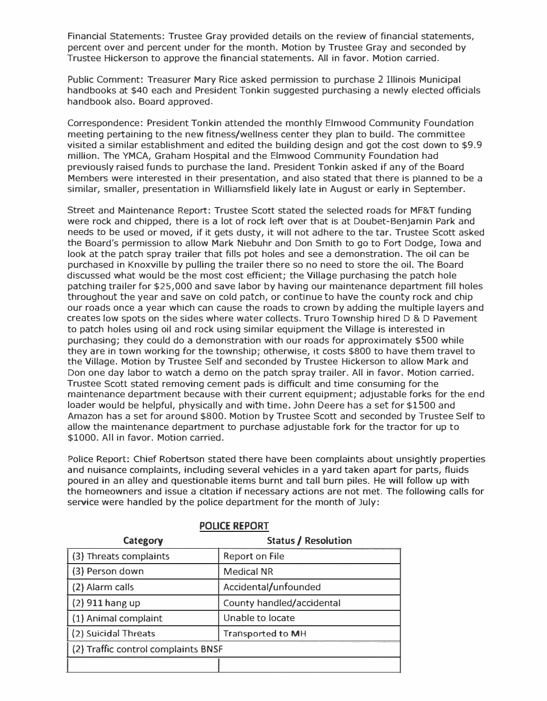Financial Statements: Trustee Gray provided details on the review of financial statements, percent over and percent under for the month. Motion by Trustee Gray and seconded by Trustee Hickerson to approve the financial statements. All in favor. Motion carried.

Public Comment: Treasurer Mary Rice asked permission to purchase 2 Illinois Municipal handbooks at \$40 each and President Tonkin suggested purchasing a newly elected officials handbook also. Board approved.

Correspondence: President Tonkin attended the monthly Elmwood Community Foundation meeting pertaining to the new fitness/wellness center they plan to build. The committee visited a similar establishment and edited the building design and got the cost down to \$9.9 million. The YMCA, Graham Hospital and the Elmwood Community Foundation had previously raised funds to purchase the land. President Tonkin asked if any of the Board Members were interested in their presentation, and also stated that there is planned to be a similar, smaller, presentation in Williamsfield likely late in August or early in September.

Street and Maintenance Report: Trustee Scott stated the selected roads for MF&T funding were rock and chipped, there is a lot of rock left over that is at Doubet-Benjamin Park and needs to be used or moved, if it gets dusty, it will not adhere to the tar. Trustee Scott asked the Board's permission to allow Mark Niebuhr and Don Smith to go to Fort Dodge, Iowa and look at the patch spray trailer that fills pot holes and see a demonstration. The oil can be purchased in Knoxville by pulling the trailer there so no need to store the oil. The Board discussed what would be the most cost efficient; the Village purchasing the patch hole patching trailer for \$25,000 and save labor by having our maintenance department fill holes throughout the year and save on cold patch, or continue to have the county rock and chip our roads once a year which can cause the roads to crown by adding the multiple layers and creates low spots on the sides where water collects. Truro Township hired D & D Pavement to patch holes using oil and rock using similar equipment the Village is interested in purchasing; they could do a demonstration with our roads for approximately \$500 while they are in town working for the township; otherwise, it costs \$800 to have them travel to the Village. Motion by Trustee Self and seconded by Trustee Hickerson to allow Mark and Don one day labor to watch a demo on the patch spray trailer. All in favor. Motion carried. Trustee Scott stated removing cement pads is difficult and time consuming for the maintenance department because with their current equipment; adjustable forks for the end loader would be helpful, physically and with time. John Deere has a set for \$1500 and Amazon has a set for around \$800. Motion by Trustee Scott and seconded by Trustee Self to allow the maintenance department to purchase adjustable fork for the tractor for up to \$1000. All in favor. Motion carried.

Police Report: Chief Robertson stated there have been complaints about unsightly properties and nuisance complaints, including several vehicles in a yard taken apart for parts, fluids poured in an alley and questionable items burnt and tall burn piles. He will follow up with the homeowners and issue a citation if necessary actions are not met. The following calls for service were handled by the police department for the month of July:

| Category                            | Status / Resolution       |  |  |  |
|-------------------------------------|---------------------------|--|--|--|
| (3) Threats complaints              | Report on File            |  |  |  |
| (3) Person down                     | <b>Medical NR</b>         |  |  |  |
| (2) Alarm calls                     | Accidental/unfounded      |  |  |  |
| $(2)$ 911 hang up                   | County handled/accidental |  |  |  |
| (1) Animal complaint                | Unable to locate          |  |  |  |
| (2) Suicidal Threats                | Transported to MH         |  |  |  |
| (2) Traffic control complaints BNSF |                           |  |  |  |
|                                     |                           |  |  |  |

## **POLICE REPORT**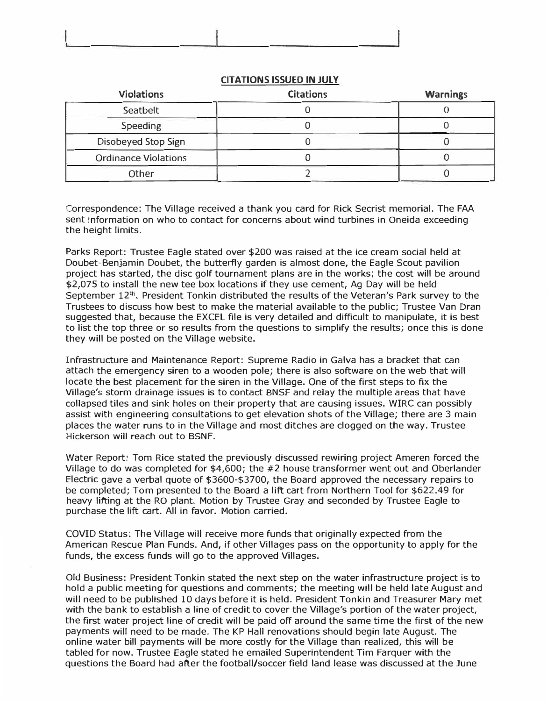| the property of the control of the control of the control of the control of the control of | the company of the company of the company of the company of the company of the company of<br>The Control of Control |  |
|--------------------------------------------------------------------------------------------|---------------------------------------------------------------------------------------------------------------------|--|

| <b>Violations</b>           | <b>Citations</b> | <b>Warnings</b> |
|-----------------------------|------------------|-----------------|
| Seatbelt                    |                  |                 |
| <b>Speeding</b>             |                  |                 |
| Disobeyed Stop Sign         |                  |                 |
| <b>Ordinance Violations</b> |                  |                 |
| Other                       |                  |                 |

## **CITATIONS ISSUED IN JULY**

Correspondence: The Village received a thank you card for Rick Secrist memorial. The FAA sent information on who to contact for concerns about wind turbines in Oneida exceeding the height limits.

Parks Report: Trustee Eagle stated over \$200 was raised at the ice cream social held at Doubet-Benjamin Doubet, the butterfly garden is almost done, the Eagle Scout pavilion project has started, the disc golf tournament plans are in the works; the cost will be around \$2,075 to install the new tee box locations if they use cement, Ag Day will be held September  $12<sup>th</sup>$ , President Tonkin distributed the results of the Veteran's Park survey to the Trustees to discuss how best to make the material available to the public; Trustee Van Dran suggested that, because the EXCEL file is very detailed and difficult to manipulate, it is best to list the top three or so results from the questions to simplify the results; once this is done they will be posted on the Village website.

Infrastructure and Maintenance Report: Supreme Radio in Galva has a bracket that can attach the emergency siren to a wooden pole; there is also software on the web that will locate the best placement for the siren in the Village. One of the first steps to fix the Village's storm drainage issues is to contact BNSF and relay the multiple areas that have collapsed tiles and sink holes on their property that are causing issues. WIRC can possibly assist with engineering consultations to get elevation shots of the Village; there are 3 main places the water runs to in the Village and most ditches are clogged on the way. Trustee Hickerson will reach out to BSNF.

Water Report: Tom Rice stated the previously discussed rewiring project Ameren forced the Village to do was completed for \$4,600; the #2 house transformer went out and Oberlander Electric gave a verbal quote of \$3600-\$3700, the Board approved the necessary repairs to be completed; Tom presented to the Board a lift cart from Northern Tool for \$622.49 for heavy lifting at the RO plant. Motion by Trustee Gray and seconded by Trustee Eagle to purchase the lift cart. All in favor. Motion carried.

COVID Status: The Village will receive more funds that originally expected from the American Rescue Plan Funds. And, if other Villages pass on the opportunity to apply for the funds, the excess funds will go to the approved Villages.

Old Business: President Tonkin stated the next step on the water infrastructure project is to hold a public meeting for questions and comments; the meeting will be held late August and will need to be published 10 days before it is held. President Tonkin and Treasurer Mary met with the bank to establish a line of credit to cover the Village's portion of the water project, the first water project line of credit will be paid *off* around the same time the first of the new payments will need to be made. The KP Hall renovations should begin late August. The online water bill payments will be more costly for the Village than realized, this will be tabled for now. Trustee Eagle stated he emailed Superintendent Tim Farquer with the questions the Board had after the football/soccer field land lease was discussed at the June